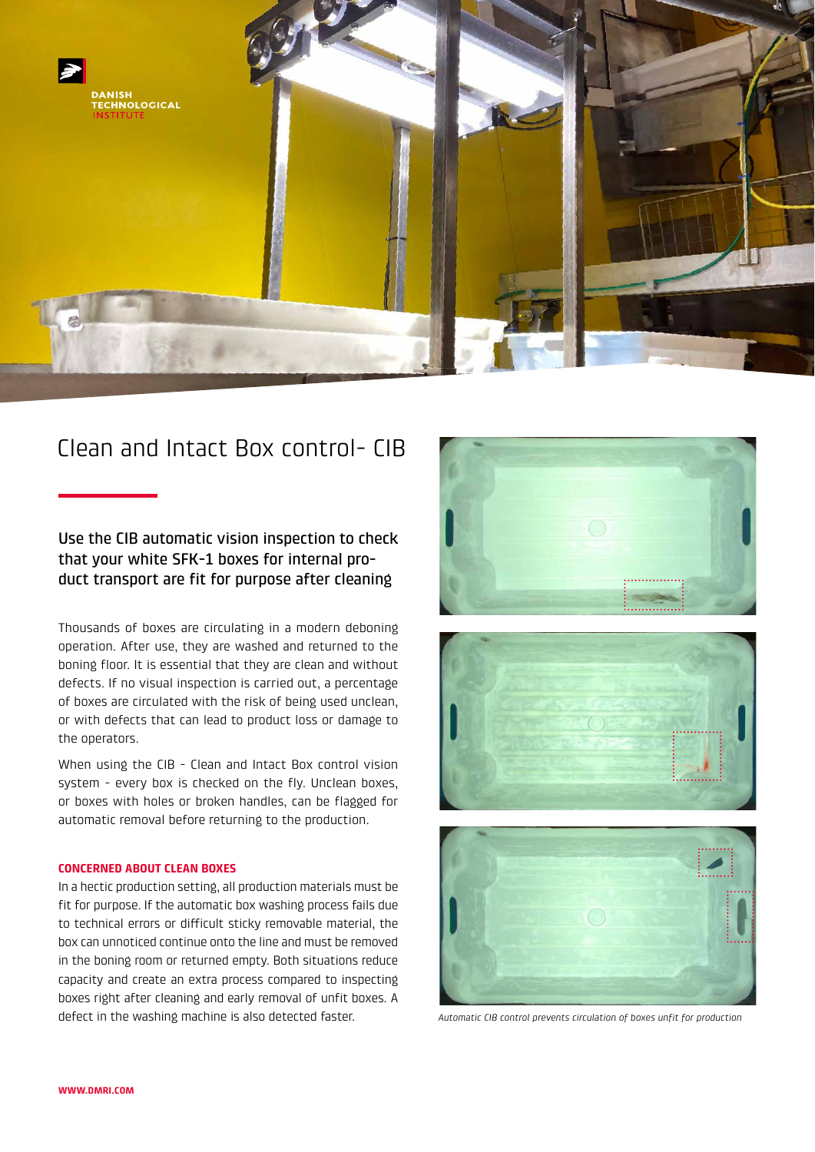

# Clean and Intact Box control- CIB

# Use the CIB automatic vision inspection to check that your white SFK-1 boxes for internal product transport are fit for purpose after cleaning

Thousands of boxes are circulating in a modern deboning operation. After use, they are washed and returned to the boning floor. It is essential that they are clean and without defects. If no visual inspection is carried out, a percentage of boxes are circulated with the risk of being used unclean, or with defects that can lead to product loss or damage to the operators.

When using the CIB - Clean and Intact Box control vision system - every box is checked on the fly. Unclean boxes, or boxes with holes or broken handles, can be flagged for automatic removal before returning to the production.

## **CONCERNED ABOUT CLEAN BOXES**

In a hectic production setting, all production materials must be fit for purpose. If the automatic box washing process fails due to technical errors or difficult sticky removable material, the box can unnoticed continue onto the line and must be removed in the boning room or returned empty. Both situations reduce capacity and create an extra process compared to inspecting boxes right after cleaning and early removal of unfit boxes. A defect in the washing machine is also detected faster.







*Automatic CIB control prevents circulation of boxes unfit for production*